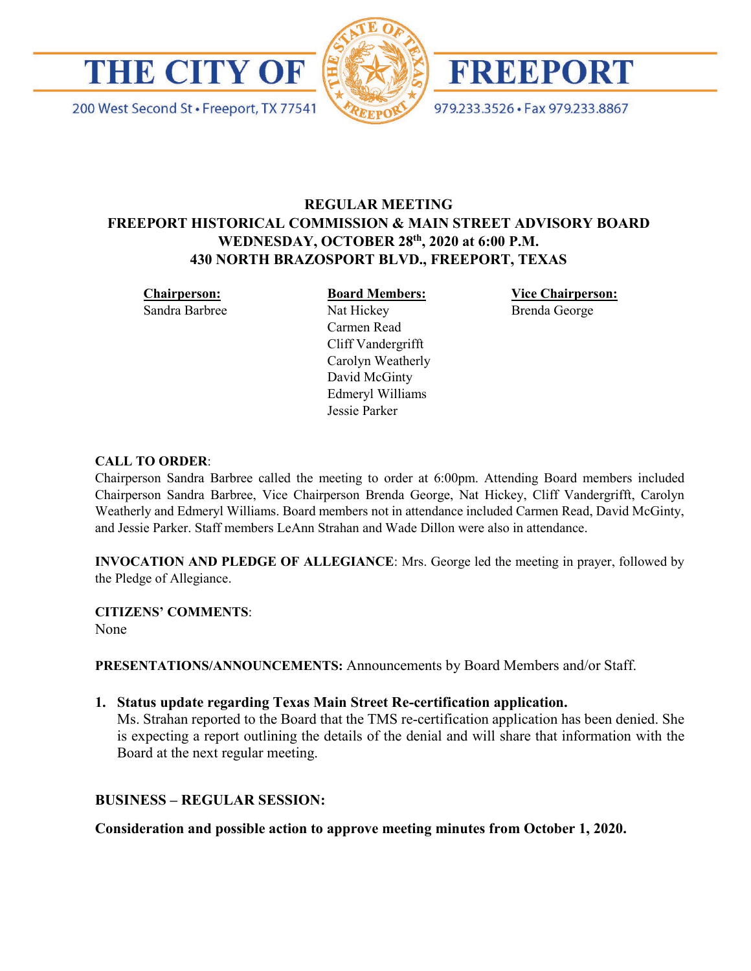





979.233.3526 · Fax 979.233.8867

# **REGULAR MEETING FREEPORT HISTORICAL COMMISSION & MAIN STREET ADVISORY BOARD WEDNESDAY, OCTOBER 28th, 2020 at 6:00 P.M. 430 NORTH BRAZOSPORT BLVD., FREEPORT, TEXAS**

**Chairperson:**

Sandra Barbree

**Board Members:** Nat Hickey Carmen Read Cliff Vandergrifft Carolyn Weatherly David McGinty Edmeryl Williams Jessie Parker

**Vice Chairperson:** Brenda George

#### **CALL TO ORDER**:

Chairperson Sandra Barbree called the meeting to order at 6:00pm. Attending Board members included Chairperson Sandra Barbree, Vice Chairperson Brenda George, Nat Hickey, Cliff Vandergrifft, Carolyn Weatherly and Edmeryl Williams. Board members not in attendance included Carmen Read, David McGinty, and Jessie Parker. Staff members LeAnn Strahan and Wade Dillon were also in attendance.

**INVOCATION AND PLEDGE OF ALLEGIANCE**: Mrs. George led the meeting in prayer, followed by the Pledge of Allegiance.

**CITIZENS' COMMENTS**:

None

**PRESENTATIONS/ANNOUNCEMENTS:** Announcements by Board Members and/or Staff.

**1. Status update regarding Texas Main Street Re-certification application.** 

Ms. Strahan reported to the Board that the TMS re-certification application has been denied. She is expecting a report outlining the details of the denial and will share that information with the Board at the next regular meeting.

## **BUSINESS – REGULAR SESSION:**

**Consideration and possible action to approve meeting minutes from October 1, 2020.**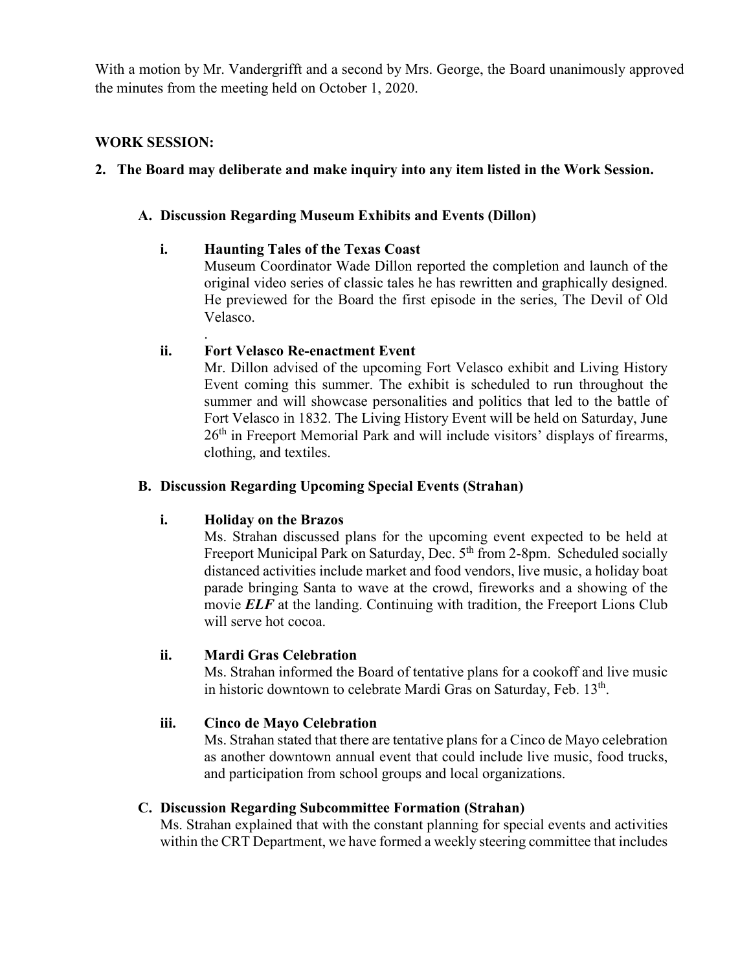With a motion by Mr. Vandergrifft and a second by Mrs. George, the Board unanimously approved the minutes from the meeting held on October 1, 2020.

## **WORK SESSION:**

# **2. The Board may deliberate and make inquiry into any item listed in the Work Session.**

## **A. Discussion Regarding Museum Exhibits and Events (Dillon)**

# **i. Haunting Tales of the Texas Coast**

Museum Coordinator Wade Dillon reported the completion and launch of the original video series of classic tales he has rewritten and graphically designed. He previewed for the Board the first episode in the series, The Devil of Old Velasco.

#### . **ii. Fort Velasco Re-enactment Event**

Mr. Dillon advised of the upcoming Fort Velasco exhibit and Living History Event coming this summer. The exhibit is scheduled to run throughout the summer and will showcase personalities and politics that led to the battle of Fort Velasco in 1832. The Living History Event will be held on Saturday, June  $26<sup>th</sup>$  in Freeport Memorial Park and will include visitors' displays of firearms, clothing, and textiles.

## **B. Discussion Regarding Upcoming Special Events (Strahan)**

## **i. Holiday on the Brazos**

Ms. Strahan discussed plans for the upcoming event expected to be held at Freeport Municipal Park on Saturday, Dec. 5<sup>th</sup> from 2-8pm. Scheduled socially distanced activities include market and food vendors, live music, a holiday boat parade bringing Santa to wave at the crowd, fireworks and a showing of the movie **ELF** at the landing. Continuing with tradition, the Freeport Lions Club will serve hot cocoa.

## **ii. Mardi Gras Celebration**

Ms. Strahan informed the Board of tentative plans for a cookoff and live music in historic downtown to celebrate Mardi Gras on Saturday, Feb.  $13<sup>th</sup>$ .

## **iii. Cinco de Mayo Celebration**

Ms. Strahan stated that there are tentative plans for a Cinco de Mayo celebration as another downtown annual event that could include live music, food trucks, and participation from school groups and local organizations.

## **C. Discussion Regarding Subcommittee Formation (Strahan)**

Ms. Strahan explained that with the constant planning for special events and activities within the CRT Department, we have formed a weekly steering committee that includes